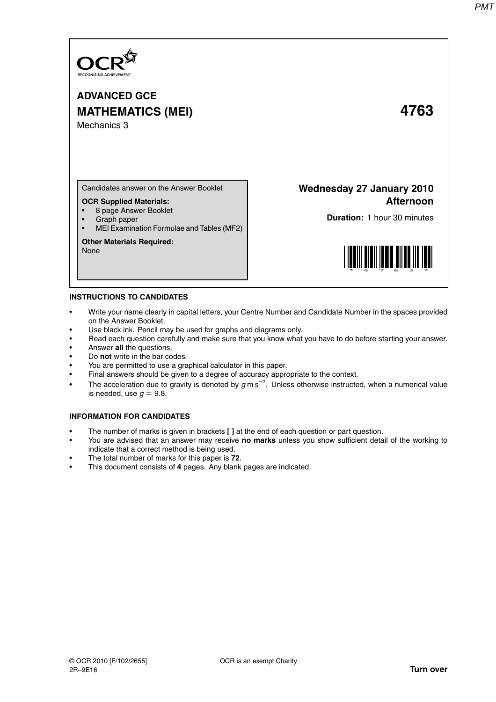

# **ADVANCED GCE MATHEMATICS (MEI) 4763** Mechanics 3

Candidates answer on the Answer Booklet

## **OCR Supplied Materials:**

- 8 page Answer Booklet
- Graph paper
- MEI Examination Formulae and Tables (MF2)

### **Other Materials Required:**

None

**Wednesday 27 January 2010 Afternoon**

**Duration:** 1 hour 30 minutes



### **INSTRUCTIONS TO CANDIDATES**

- Write your name clearly in capital letters, your Centre Number and Candidate Number in the spaces provided on the Answer Booklet.
- Use black ink. Pencil may be used for graphs and diagrams only.
- Read each question carefully and make sure that you know what you have to do before starting your answer.
- Answer **all** the questions.
- Do **not** write in the bar codes.
- You are permitted to use a graphical calculator in this paper.
- Final answers should be given to a degree of accuracy appropriate to the context.
- The acceleration due to gravity is denoted by  $g$  m s<sup>-2</sup>. Unless otherwise instructed, when a numerical value is needed, use  $q = 9.8$ .

### **INFORMATION FOR CANDIDATES**

- The number of marks is given in brackets **[ ]** at the end of each question or part question.
- You are advised that an answer may receive **no marks** unless you show sufficient detail of the working to indicate that a correct method is being used.
- The total number of marks for this paper is **72**.
- This document consists of **4** pages. Any blank pages are indicated.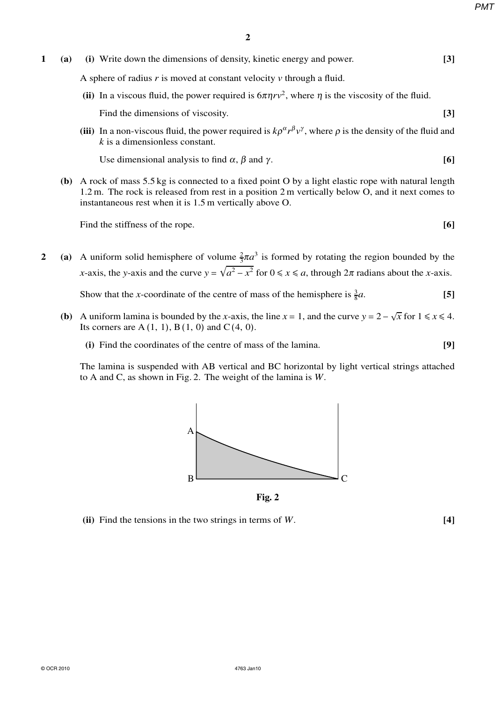*PMT*

- **1 (a) (i)** Write down the dimensions of density, kinetic energy and power. **[3]** A sphere of radius *r* is moved at constant velocity *v* through a fluid. (ii) In a viscous fluid, the power required is  $6\pi\eta r v^2$ , where  $\eta$  is the viscosity of the fluid. Find the dimensions of viscosity. **[3]** [3]
	- (iii) In a non-viscous fluid, the power required is  $k\rho^{\alpha}r^{\beta}v^{\gamma}$ , where  $\rho$  is the density of the fluid and *k* is a dimensionless constant.

Use dimensional analysis to find  $\alpha$ ,  $\beta$  and  $\gamma$ . **[6]** 

**(b)** A rock of mass 5.5 kg is connected to a fixed point O by a light elastic rope with natural length 1.2 m. The rock is released from rest in a position 2 m vertically below O, and it next comes to instantaneous rest when it is 1.5 m vertically above O.

Find the stiffness of the rope. **[6] [6]** 

**2** (a) A uniform solid hemisphere of volume  $\frac{2}{3}\pi a^3$  is formed by rotating the region bounded by the *x*-axis, the *y*-axis and the curve  $y = \sqrt{a^2 - x^2}$  for  $0 \le x \le a$ , through  $2\pi$  radians about the *x*-axis.

Show that the *x*-coordinate of the centre of mass of the hemisphere is  $\frac{3}{8}$ *a*. **[5]**

- **(b)** A uniform lamina is bounded by the *x*-axis, the line  $x = 1$ , and the curve  $y = 2 \sqrt{x}$  for  $1 \le x \le 4$ . Its corners are  $A(1, 1), B(1, 0)$  and  $C(4, 0)$ .
	- **(i)** Find the coordinates of the centre of mass of the lamina. **[9]**

The lamina is suspended with AB vertical and BC horizontal by light vertical strings attached to A and C, as shown in Fig. 2. The weight of the lamina is *W*.



**Fig. 2**

**(ii)** Find the tensions in the two strings in terms of *W*. **[4]**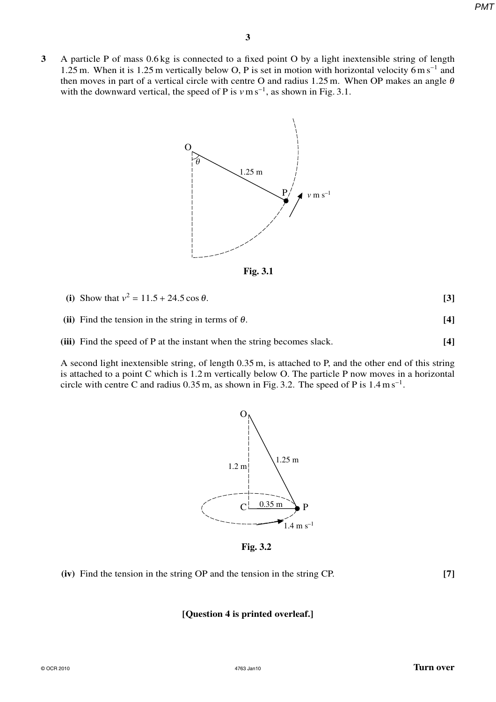**3** A particle P of mass 0.6 kg is connected to a fixed point O by a light inextensible string of length 1.25 m. When it is 1.25 m vertically below O, P is set in motion with horizontal velocity 6 m s<sup>-1</sup> and then moves in part of a vertical circle with centre O and radius 1.25 m. When OP makes an angle  $\theta$ with the downward vertical, the speed of P is  $v \text{ m s}^{-1}$ , as shown in Fig. 3.1.



**Fig. 3.1**

**(ii)** Find the tension in the string in terms of  $\theta$ . **[4]** 

**(iii)** Find the speed of P at the instant when the string becomes slack. **[4]**

A second light inextensible string, of length 0.35 m, is attached to P, and the other end of this string is attached to a point C which is 1.2 m vertically below O. The particle P now moves in a horizontal circle with centre C and radius  $0.35$  m, as shown in Fig. 3.2. The speed of P is  $1.4 \text{ m s}^{-1}$ .



**Fig. 3.2**

**(iv)** Find the tension in the string OP and the tension in the string CP. **[7]**

# **[Question 4 is printed overleaf.]**